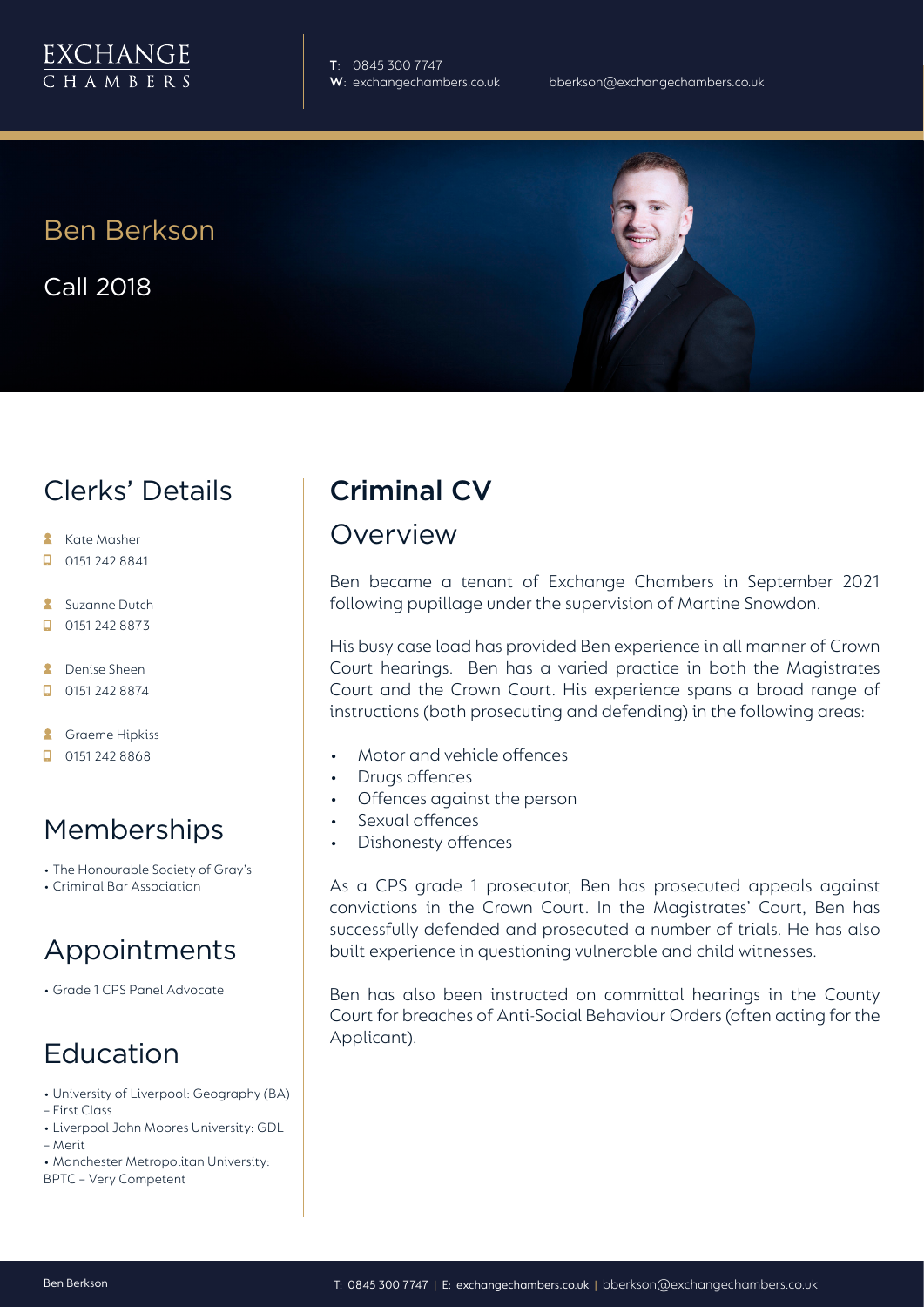

**T**: 0845 300 7747

## Ben Berkson

Call 2018

# Clerks' Details

- **Kate Masher**
- $\Box$  0151 242 8841
- **Suzanne Dutch**
- $\Box$ 0151 242 8873

**2** Denise Sheen

- $\Box$  0151 242 8874
- **A** Graeme Hipkiss
- $\Box$  0151 242 8868

#### Memberships

- The Honourable Society of Gray's
- Criminal Bar Association

# Appointments

• Grade 1 CPS Panel Advocate

# Education

- University of Liverpool: Geography (BA)
- First Class
- Liverpool John Moores University: GDL – Merit
- Manchester Metropolitan University: BPTC – Very Competent

# Criminal CV

#### Overview

Ben became a tenant of Exchange Chambers in September 2021 following pupillage under the supervision of Martine Snowdon.

His busy case load has provided Ben experience in all manner of Crown Court hearings. Ben has a varied practice in both the Magistrates Court and the Crown Court. His experience spans a broad range of instructions (both prosecuting and defending) in the following areas:

- Motor and vehicle offences
- Drugs offences
- Offences against the person
- Sexual offences
- Dishonesty offences

As a CPS grade 1 prosecutor, Ben has prosecuted appeals against convictions in the Crown Court. In the Magistrates' Court, Ben has successfully defended and prosecuted a number of trials. He has also built experience in questioning vulnerable and child witnesses.

Ben has also been instructed on committal hearings in the County Court for breaches of Anti-Social Behaviour Orders (often acting for the Applicant).